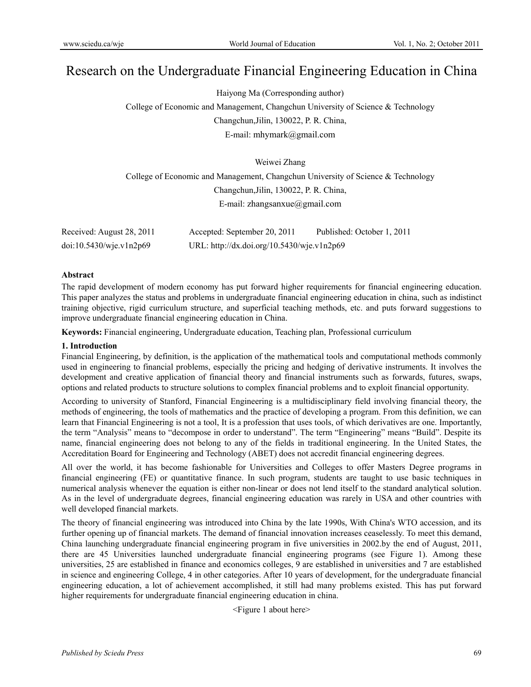# Research on the Undergraduate Financial Engineering Education in China

Haiyong Ma (Corresponding author)

College of Economic and Management, Changchun University of Science & Technology Changchun,Jilin, 130022, P. R. China,

E-mail: mhymark@gmail.com

Weiwei Zhang

College of Economic and Management, Changchun University of Science & Technology Changchun,Jilin, 130022, P. R. China, E-mail: zhangsanxue@gmail.com

| Received: August 28, 2011 | Accepted: September 20, 2011               | Published: October 1, 2011 |
|---------------------------|--------------------------------------------|----------------------------|
| doi:10.5430/wje.v1n2p69   | URL: http://dx.doi.org/10.5430/wje.v1n2p69 |                            |

## **Abstract**

The rapid development of modern economy has put forward higher requirements for financial engineering education. This paper analyzes the status and problems in undergraduate financial engineering education in china, such as indistinct training objective, rigid curriculum structure, and superficial teaching methods, etc. and puts forward suggestions to improve undergraduate financial engineering education in China.

**Keywords:** Financial engineering, Undergraduate education, Teaching plan, Professional curriculum

# **1. Introduction**

Financial Engineering, by definition, is the application of the mathematical tools and computational methods commonly used in engineering to financial problems, especially the pricing and hedging of derivative instruments. It involves the development and creative application of financial theory and financial instruments such as forwards, futures, swaps, options and related products to structure solutions to complex financial problems and to exploit financial opportunity.

According to university of Stanford, Financial Engineering is a multidisciplinary field involving financial theory, the methods of engineering, the tools of mathematics and the practice of developing a program. From this definition, we can learn that Financial Engineering is not a tool, It is a profession that uses tools, of which derivatives are one. Importantly, the term "Analysis" means to "decompose in order to understand". The term "Engineering" means "Build". Despite its name, financial engineering does not belong to any of the fields in traditional engineering. In the United States, the Accreditation Board for Engineering and Technology (ABET) does not accredit financial engineering degrees.

All over the world, it has become fashionable for Universities and Colleges to offer Masters Degree programs in financial engineering (FE) or quantitative finance. In such program, students are taught to use basic techniques in numerical analysis whenever the equation is either non-linear or does not lend itself to the standard analytical solution. As in the level of undergraduate degrees, financial engineering education was rarely in USA and other countries with well developed financial markets.

The theory of financial engineering was introduced into China by the late 1990s, With China's WTO accession, and its further opening up of financial markets. The demand of financial innovation increases ceaselessly. To meet this demand, China launching undergraduate financial engineering program in five universities in 2002.by the end of August, 2011, there are 45 Universities launched undergraduate financial engineering programs (see Figure 1). Among these universities, 25 are established in finance and economics colleges, 9 are established in universities and 7 are established in science and engineering College, 4 in other categories. After 10 years of development, for the undergraduate financial engineering education, a lot of achievement accomplished, it still had many problems existed. This has put forward higher requirements for undergraduate financial engineering education in china.

<Figure 1 about here>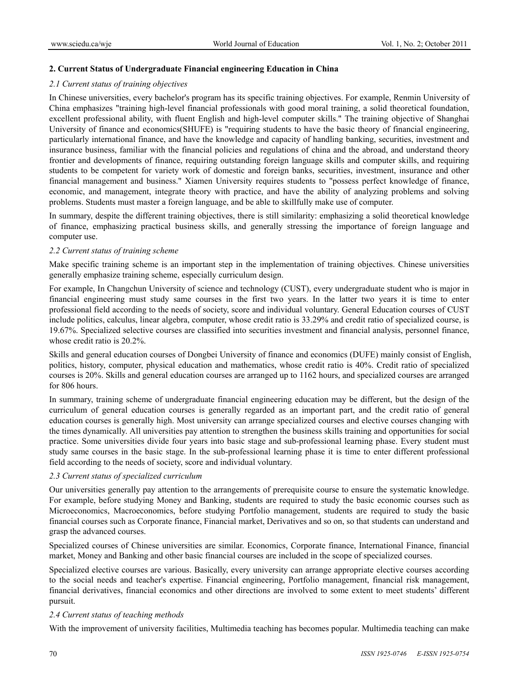# **2. Current Status of Undergraduate Financial engineering Education in China**

## *2.1 Current status of training objectives*

In Chinese universities, every bachelor's program has its specific training objectives. For example, Renmin University of China emphasizes "training high-level financial professionals with good moral training, a solid theoretical foundation, excellent professional ability, with fluent English and high-level computer skills." The training objective of Shanghai University of finance and economics(SHUFE) is "requiring students to have the basic theory of financial engineering, particularly international finance, and have the knowledge and capacity of handling banking, securities, investment and insurance business, familiar with the financial policies and regulations of china and the abroad, and understand theory frontier and developments of finance, requiring outstanding foreign language skills and computer skills, and requiring students to be competent for variety work of domestic and foreign banks, securities, investment, insurance and other financial management and business." Xiamen University requires students to "possess perfect knowledge of finance, economic, and management, integrate theory with practice, and have the ability of analyzing problems and solving problems. Students must master a foreign language, and be able to skillfully make use of computer.

In summary, despite the different training objectives, there is still similarity: emphasizing a solid theoretical knowledge of finance, emphasizing practical business skills, and generally stressing the importance of foreign language and computer use.

## *2.2 Current status of training scheme*

Make specific training scheme is an important step in the implementation of training objectives. Chinese universities generally emphasize training scheme, especially curriculum design.

For example, In Changchun University of science and technology (CUST), every undergraduate student who is major in financial engineering must study same courses in the first two years. In the latter two years it is time to enter professional field according to the needs of society, score and individual voluntary. General Education courses of CUST include politics, calculus, linear algebra, computer, whose credit ratio is 33.29% and credit ratio of specialized course, is 19.67%. Specialized selective courses are classified into securities investment and financial analysis, personnel finance, whose credit ratio is 20.2%.

Skills and general education courses of Dongbei University of finance and economics (DUFE) mainly consist of English, politics, history, computer, physical education and mathematics, whose credit ratio is 40%. Credit ratio of specialized courses is 20%. Skills and general education courses are arranged up to 1162 hours, and specialized courses are arranged for 806 hours.

In summary, training scheme of undergraduate financial engineering education may be different, but the design of the curriculum of general education courses is generally regarded as an important part, and the credit ratio of general education courses is generally high. Most university can arrange specialized courses and elective courses changing with the times dynamically. All universities pay attention to strengthen the business skills training and opportunities for social practice. Some universities divide four years into basic stage and sub-professional learning phase. Every student must study same courses in the basic stage. In the sub-professional learning phase it is time to enter different professional field according to the needs of society, score and individual voluntary.

# *2.3 Current status of specialized curriculum*

Our universities generally pay attention to the arrangements of prerequisite course to ensure the systematic knowledge. For example, before studying Money and Banking, students are required to study the basic economic courses such as Microeconomics, Macroeconomics, before studying Portfolio management, students are required to study the basic financial courses such as Corporate finance, Financial market, Derivatives and so on, so that students can understand and grasp the advanced courses.

Specialized courses of Chinese universities are similar. Economics, Corporate finance, International Finance, financial market, Money and Banking and other basic financial courses are included in the scope of specialized courses.

Specialized elective courses are various. Basically, every university can arrange appropriate elective courses according to the social needs and teacher's expertise. Financial engineering, Portfolio management, financial risk management, financial derivatives, financial economics and other directions are involved to some extent to meet students' different pursuit.

#### *2.4 Current status of teaching methods*

With the improvement of university facilities, Multimedia teaching has becomes popular. Multimedia teaching can make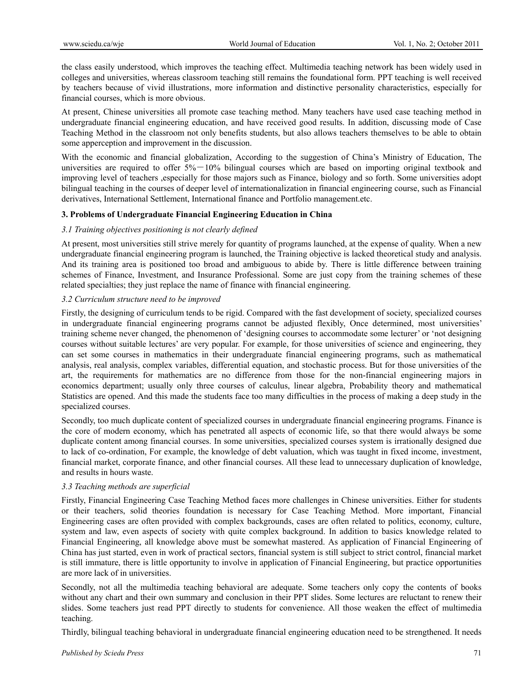the class easily understood, which improves the teaching effect. Multimedia teaching network has been widely used in colleges and universities, whereas classroom teaching still remains the foundational form. PPT teaching is well received by teachers because of vivid illustrations, more information and distinctive personality characteristics, especially for financial courses, which is more obvious.

At present, Chinese universities all promote case teaching method. Many teachers have used case teaching method in undergraduate financial engineering education, and have received good results. In addition, discussing mode of Case Teaching Method in the classroom not only benefits students, but also allows teachers themselves to be able to obtain some apperception and improvement in the discussion.

With the economic and financial globalization, According to the suggestion of China's Ministry of Education, The universities are required to offer  $5\% - 10\%$  bilingual courses which are based on importing original textbook and improving level of teachers ,especially for those majors such as Finance, biology and so forth. Some universities adopt bilingual teaching in the courses of deeper level of internationalization in financial engineering course, such as Financial derivatives, International Settlement, International finance and Portfolio management.etc.

# **3. Problems of Undergraduate Financial Engineering Education in China**

# *3.1 Training objectives positioning is not clearly defined*

At present, most universities still strive merely for quantity of programs launched, at the expense of quality. When a new undergraduate financial engineering program is launched, the Training objective is lacked theoretical study and analysis. And its training area is positioned too broad and ambiguous to abide by. There is little difference between training schemes of Finance, Investment, and Insurance Professional. Some are just copy from the training schemes of these related specialties; they just replace the name of finance with financial engineering.

# *3.2 Curriculum structure need to be improved*

Firstly, the designing of curriculum tends to be rigid. Compared with the fast development of society, specialized courses in undergraduate financial engineering programs cannot be adjusted flexibly, Once determined, most universities' training scheme never changed, the phenomenon of 'designing courses to accommodate some lecturer' or 'not designing courses without suitable lectures' are very popular. For example, for those universities of science and engineering, they can set some courses in mathematics in their undergraduate financial engineering programs, such as mathematical analysis, real analysis, complex variables, differential equation, and stochastic process. But for those universities of the art, the requirements for mathematics are no difference from those for the non-financial engineering majors in economics department; usually only three courses of calculus, linear algebra, Probability theory and mathematical Statistics are opened. And this made the students face too many difficulties in the process of making a deep study in the specialized courses.

Secondly, too much duplicate content of specialized courses in undergraduate financial engineering programs. Finance is the core of modern economy, which has penetrated all aspects of economic life, so that there would always be some duplicate content among financial courses. In some universities, specialized courses system is irrationally designed due to lack of co-ordination, For example, the knowledge of debt valuation, which was taught in fixed income, investment, financial market, corporate finance, and other financial courses. All these lead to unnecessary duplication of knowledge, and results in hours waste.

# *3.3 Teaching methods are superficial*

Firstly, Financial Engineering Case Teaching Method faces more challenges in Chinese universities. Either for students or their teachers, solid theories foundation is necessary for Case Teaching Method. More important, Financial Engineering cases are often provided with complex backgrounds, cases are often related to politics, economy, culture, system and law, even aspects of society with quite complex background. In addition to basics knowledge related to Financial Engineering, all knowledge above must be somewhat mastered. As application of Financial Engineering of China has just started, even in work of practical sectors, financial system is still subject to strict control, financial market is still immature, there is little opportunity to involve in application of Financial Engineering, but practice opportunities are more lack of in universities.

Secondly, not all the multimedia teaching behavioral are adequate. Some teachers only copy the contents of books without any chart and their own summary and conclusion in their PPT slides. Some lectures are reluctant to renew their slides. Some teachers just read PPT directly to students for convenience. All those weaken the effect of multimedia teaching.

Thirdly, bilingual teaching behavioral in undergraduate financial engineering education need to be strengthened. It needs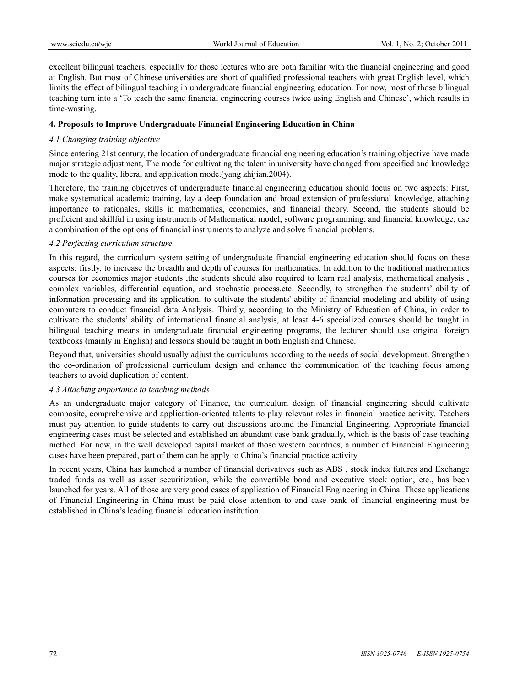excellent bilingual teachers, especially for those lectures who are both familiar with the financial engineering and good at English. But most of Chinese universities are short of qualified professional teachers with great English level, which limits the effect of bilingual teaching in undergraduate financial engineering education. For now, most of those bilingual teaching turn into a 'To teach the same financial engineering courses twice using English and Chinese', which results in time-wasting.

# **4. Proposals to Improve Undergraduate Financial Engineering Education in China**

# *4.1 Changing training objective*

Since entering 21st century, the location of undergraduate financial engineering education's training objective have made major strategic adjustment, The mode for cultivating the talent in university have changed from specified and knowledge mode to the quality, liberal and application mode.(yang zhijian,2004).

Therefore, the training objectives of undergraduate financial engineering education should focus on two aspects: First, make systematical academic training, lay a deep foundation and broad extension of professional knowledge, attaching importance to rationales, skills in mathematics, economics, and financial theory. Second, the students should be proficient and skillful in using instruments of Mathematical model, software programming, and financial knowledge, use a combination of the options of financial instruments to analyze and solve financial problems.

# *4.2 Perfecting curriculum structure*

In this regard, the curriculum system setting of undergraduate financial engineering education should focus on these aspects: firstly, to increase the breadth and depth of courses for mathematics, In addition to the traditional mathematics courses for economics major students ,the students should also required to learn real analysis, mathematical analysis , complex variables, differential equation, and stochastic process.etc. Secondly, to strengthen the students' ability of information processing and its application, to cultivate the students' ability of financial modeling and ability of using computers to conduct financial data Analysis. Thirdly, according to the Ministry of Education of China, in order to cultivate the students' ability of international financial analysis, at least 4-6 specialized courses should be taught in bilingual teaching means in undergraduate financial engineering programs, the lecturer should use original foreign textbooks (mainly in English) and lessons should be taught in both English and Chinese.

Beyond that, universities should usually adjust the curriculums according to the needs of social development. Strengthen the co-ordination of professional curriculum design and enhance the communication of the teaching focus among teachers to avoid duplication of content.

# *4.3 Attaching importance to teaching methods*

As an undergraduate major category of Finance, the curriculum design of financial engineering should cultivate composite, comprehensive and application-oriented talents to play relevant roles in financial practice activity. Teachers must pay attention to guide students to carry out discussions around the Financial Engineering. Appropriate financial engineering cases must be selected and established an abundant case bank gradually, which is the basis of case teaching method. For now, in the well developed capital market of those western countries, a number of Financial Engineering cases have been prepared, part of them can be apply to China's financial practice activity.

In recent years, China has launched a number of financial derivatives such as ABS , stock index futures and Exchange traded funds as well as asset securitization, while the convertible bond and executive stock option, etc., has been launched for years. All of those are very good cases of application of Financial Engineering in China. These applications of Financial Engineering in China must be paid close attention to and case bank of financial engineering must be established in China's leading financial education institution.